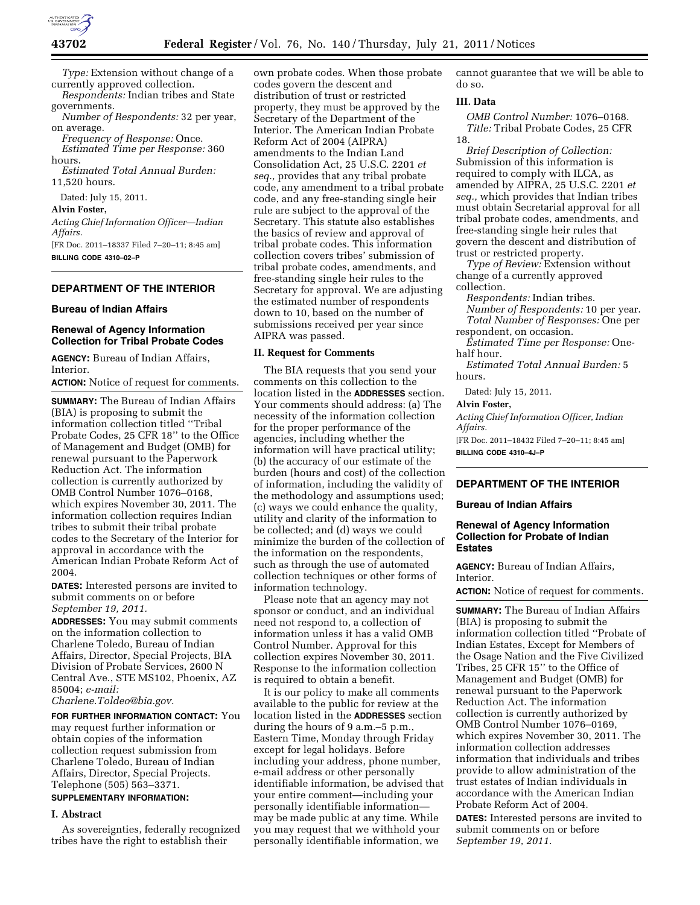

*Type:* Extension without change of a currently approved collection.

*Respondents:* Indian tribes and State governments.

*Number of Respondents:* 32 per year, on average.

*Frequency of Response:* Once. *Estimated Time per Response:* 360 hours.

*Estimated Total Annual Burden:*  11,520 hours.

Dated: July 15, 2011.

**Alvin Foster,** 

*Acting Chief Information Officer—Indian Affairs.* 

[FR Doc. 2011–18337 Filed 7–20–11; 8:45 am] **BILLING CODE 4310–02–P** 

## **DEPARTMENT OF THE INTERIOR**

### **Bureau of Indian Affairs**

### **Renewal of Agency Information Collection for Tribal Probate Codes**

**AGENCY:** Bureau of Indian Affairs, Interior.

**ACTION:** Notice of request for comments.

**SUMMARY:** The Bureau of Indian Affairs (BIA) is proposing to submit the information collection titled ''Tribal Probate Codes, 25 CFR 18'' to the Office of Management and Budget (OMB) for renewal pursuant to the Paperwork Reduction Act. The information collection is currently authorized by OMB Control Number 1076–0168, which expires November 30, 2011. The information collection requires Indian tribes to submit their tribal probate codes to the Secretary of the Interior for approval in accordance with the American Indian Probate Reform Act of 2004.

**DATES:** Interested persons are invited to submit comments on or before *September 19, 2011.* 

**ADDRESSES:** You may submit comments on the information collection to Charlene Toledo, Bureau of Indian Affairs, Director, Special Projects, BIA Division of Probate Services, 2600 N Central Ave., STE MS102, Phoenix, AZ 85004; *e-mail:* 

*[Charlene.Toldeo@bia.gov.](mailto:Charlene.Toldeo@bia.gov)* 

**FOR FURTHER INFORMATION CONTACT:** You may request further information or obtain copies of the information collection request submission from Charlene Toledo, Bureau of Indian Affairs, Director, Special Projects. Telephone (505) 563–3371.

# **SUPPLEMENTARY INFORMATION:**

### **I. Abstract**

As sovereignties, federally recognized tribes have the right to establish their

own probate codes. When those probate codes govern the descent and distribution of trust or restricted property, they must be approved by the Secretary of the Department of the Interior. The American Indian Probate Reform Act of 2004 (AIPRA) amendments to the Indian Land Consolidation Act, 25 U.S.C. 2201 *et seq.,* provides that any tribal probate code, any amendment to a tribal probate code, and any free-standing single heir rule are subject to the approval of the Secretary. This statute also establishes the basics of review and approval of tribal probate codes. This information collection covers tribes' submission of tribal probate codes, amendments, and free-standing single heir rules to the Secretary for approval. We are adjusting the estimated number of respondents down to 10, based on the number of submissions received per year since AIPRA was passed.

### **II. Request for Comments**

The BIA requests that you send your comments on this collection to the location listed in the **ADDRESSES** section. Your comments should address: (a) The necessity of the information collection for the proper performance of the agencies, including whether the information will have practical utility; (b) the accuracy of our estimate of the burden (hours and cost) of the collection of information, including the validity of the methodology and assumptions used; (c) ways we could enhance the quality, utility and clarity of the information to be collected; and (d) ways we could minimize the burden of the collection of the information on the respondents, such as through the use of automated collection techniques or other forms of information technology.

Please note that an agency may not sponsor or conduct, and an individual need not respond to, a collection of information unless it has a valid OMB Control Number. Approval for this collection expires November 30, 2011. Response to the information collection is required to obtain a benefit.

It is our policy to make all comments available to the public for review at the location listed in the **ADDRESSES** section during the hours of 9 a.m.–5 p.m., Eastern Time, Monday through Friday except for legal holidays. Before including your address, phone number, e-mail address or other personally identifiable information, be advised that your entire comment—including your personally identifiable information may be made public at any time. While you may request that we withhold your personally identifiable information, we

cannot guarantee that we will be able to do so.

### **III. Data**

*OMB Control Number:* 1076–0168. *Title:* Tribal Probate Codes, 25 CFR 18.

*Brief Description of Collection:*  Submission of this information is required to comply with ILCA, as amended by AIPRA, 25 U.S.C. 2201 *et seq.,* which provides that Indian tribes must obtain Secretarial approval for all tribal probate codes, amendments, and free-standing single heir rules that govern the descent and distribution of trust or restricted property.

*Type of Review:* Extension without change of a currently approved collection.

*Respondents:* Indian tribes.

*Number of Respondents:* 10 per year. *Total Number of Responses:* One per respondent, on occasion.

*Estimated Time per Response:* Onehalf hour.

*Estimated Total Annual Burden:* 5 hours.

Dated: July 15, 2011.

#### **Alvin Foster,**

*Acting Chief Information Officer, Indian Affairs.* 

[FR Doc. 2011–18432 Filed 7–20–11; 8:45 am] **BILLING CODE 4310–4J–P** 

# **DEPARTMENT OF THE INTERIOR**

### **Bureau of Indian Affairs**

### **Renewal of Agency Information Collection for Probate of Indian Estates**

**AGENCY:** Bureau of Indian Affairs, Interior.

**ACTION:** Notice of request for comments.

**SUMMARY:** The Bureau of Indian Affairs (BIA) is proposing to submit the information collection titled ''Probate of Indian Estates, Except for Members of the Osage Nation and the Five Civilized Tribes, 25 CFR 15'' to the Office of Management and Budget (OMB) for renewal pursuant to the Paperwork Reduction Act. The information collection is currently authorized by OMB Control Number 1076–0169, which expires November 30, 2011. The information collection addresses information that individuals and tribes provide to allow administration of the trust estates of Indian individuals in accordance with the American Indian Probate Reform Act of 2004.

**DATES:** Interested persons are invited to submit comments on or before *September 19, 2011.*